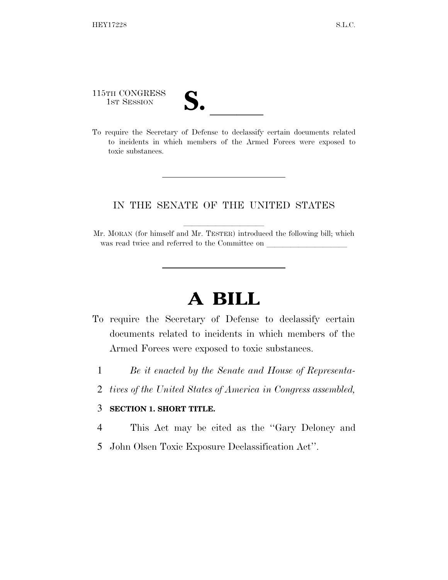115TH CONGRESS

115TH CONGRESS<br>
1ST SESSION<br>
To require the Secretary of Defense to declassify certain documents related to incidents in which members of the Armed Forces were exposed to toxic substances.

## IN THE SENATE OF THE UNITED STATES

Mr. MORAN (for himself and Mr. TESTER) introduced the following bill; which was read twice and referred to the Committee on

## **A BILL**

- To require the Secretary of Defense to declassify certain documents related to incidents in which members of the Armed Forces were exposed to toxic substances.
	- 1 *Be it enacted by the Senate and House of Representa-*
	- 2 *tives of the United States of America in Congress assembled,*

## 3 **SECTION 1. SHORT TITLE.**

- 4 This Act may be cited as the ''Gary Deloney and
- 5 John Olsen Toxic Exposure Declassification Act''.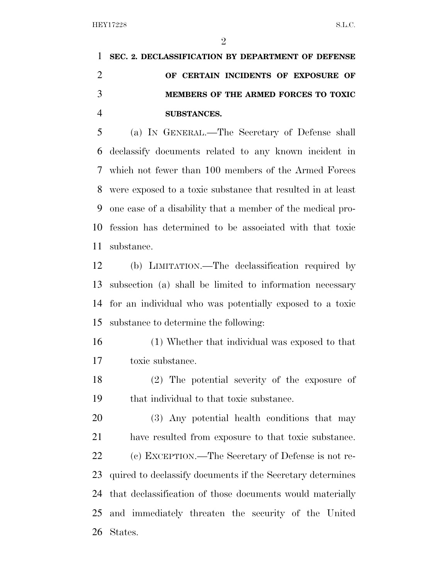**SEC. 2. DECLASSIFICATION BY DEPARTMENT OF DEFENSE OF CERTAIN INCIDENTS OF EXPOSURE OF MEMBERS OF THE ARMED FORCES TO TOXIC SUBSTANCES.** 

 (a) IN GENERAL.—The Secretary of Defense shall declassify documents related to any known incident in which not fewer than 100 members of the Armed Forces were exposed to a toxic substance that resulted in at least one case of a disability that a member of the medical pro- fession has determined to be associated with that toxic substance.

 (b) LIMITATION.—The declassification required by subsection (a) shall be limited to information necessary for an individual who was potentially exposed to a toxic substance to determine the following:

- (1) Whether that individual was exposed to that toxic substance.
- (2) The potential severity of the exposure of that individual to that toxic substance.

 (3) Any potential health conditions that may have resulted from exposure to that toxic substance. (c) EXCEPTION.—The Secretary of Defense is not re- quired to declassify documents if the Secretary determines that declassification of those documents would materially and immediately threaten the security of the United States.